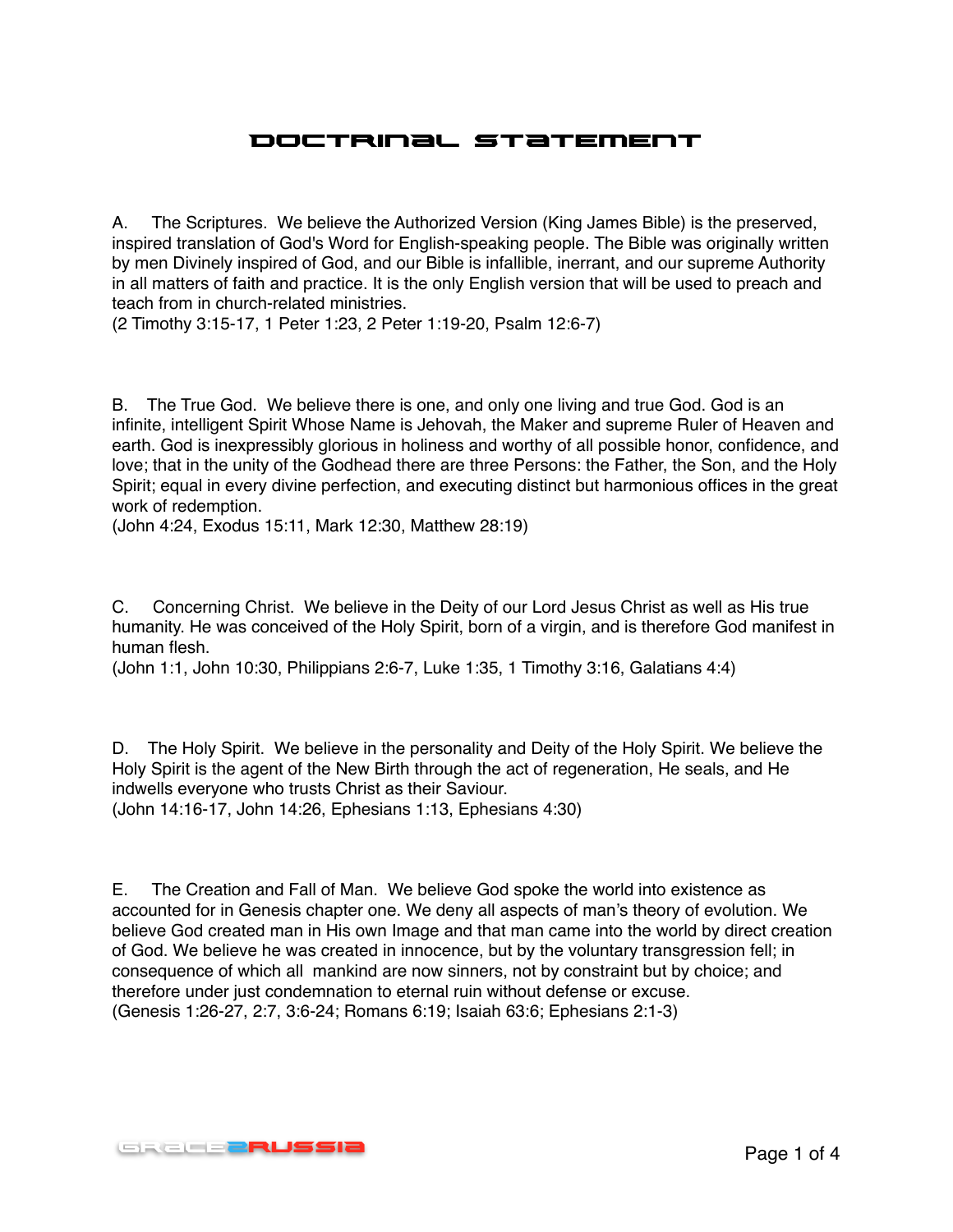## Doctrinal Statement

A. The Scriptures. We believe the Authorized Version (King James Bible) is the preserved, inspired translation of God's Word for English-speaking people. The Bible was originally written by men Divinely inspired of God, and our Bible is infallible, inerrant, and our supreme Authority in all matters of faith and practice. It is the only English version that will be used to preach and teach from in church-related ministries.

(2 Timothy 3:15-17, 1 Peter 1:23, 2 Peter 1:19-20, Psalm 12:6-7)

B. The True God. We believe there is one, and only one living and true God. God is an infinite, intelligent Spirit Whose Name is Jehovah, the Maker and supreme Ruler of Heaven and earth. God is inexpressibly glorious in holiness and worthy of all possible honor, confidence, and love; that in the unity of the Godhead there are three Persons: the Father, the Son, and the Holy Spirit; equal in every divine perfection, and executing distinct but harmonious offices in the great work of redemption.

(John 4:24, Exodus 15:11, Mark 12:30, Matthew 28:19)

C. Concerning Christ. We believe in the Deity of our Lord Jesus Christ as well as His true humanity. He was conceived of the Holy Spirit, born of a virgin, and is therefore God manifest in human flesh.

(John 1:1, John 10:30, Philippians 2:6-7, Luke 1:35, 1 Timothy 3:16, Galatians 4:4)

D. The Holy Spirit. We believe in the personality and Deity of the Holy Spirit. We believe the Holy Spirit is the agent of the New Birth through the act of regeneration, He seals, and He indwells everyone who trusts Christ as their Saviour.

(John 14:16-17, John 14:26, Ephesians 1:13, Ephesians 4:30)

E. The Creation and Fall of Man. We believe God spoke the world into existence as accounted for in Genesis chapter one. We deny all aspects of man's theory of evolution. We believe God created man in His own Image and that man came into the world by direct creation of God. We believe he was created in innocence, but by the voluntary transgression fell; in consequence of which all mankind are now sinners, not by constraint but by choice; and therefore under just condemnation to eternal ruin without defense or excuse. (Genesis 1:26-27, 2:7, 3:6-24; Romans 6:19; Isaiah 63:6; Ephesians 2:1-3)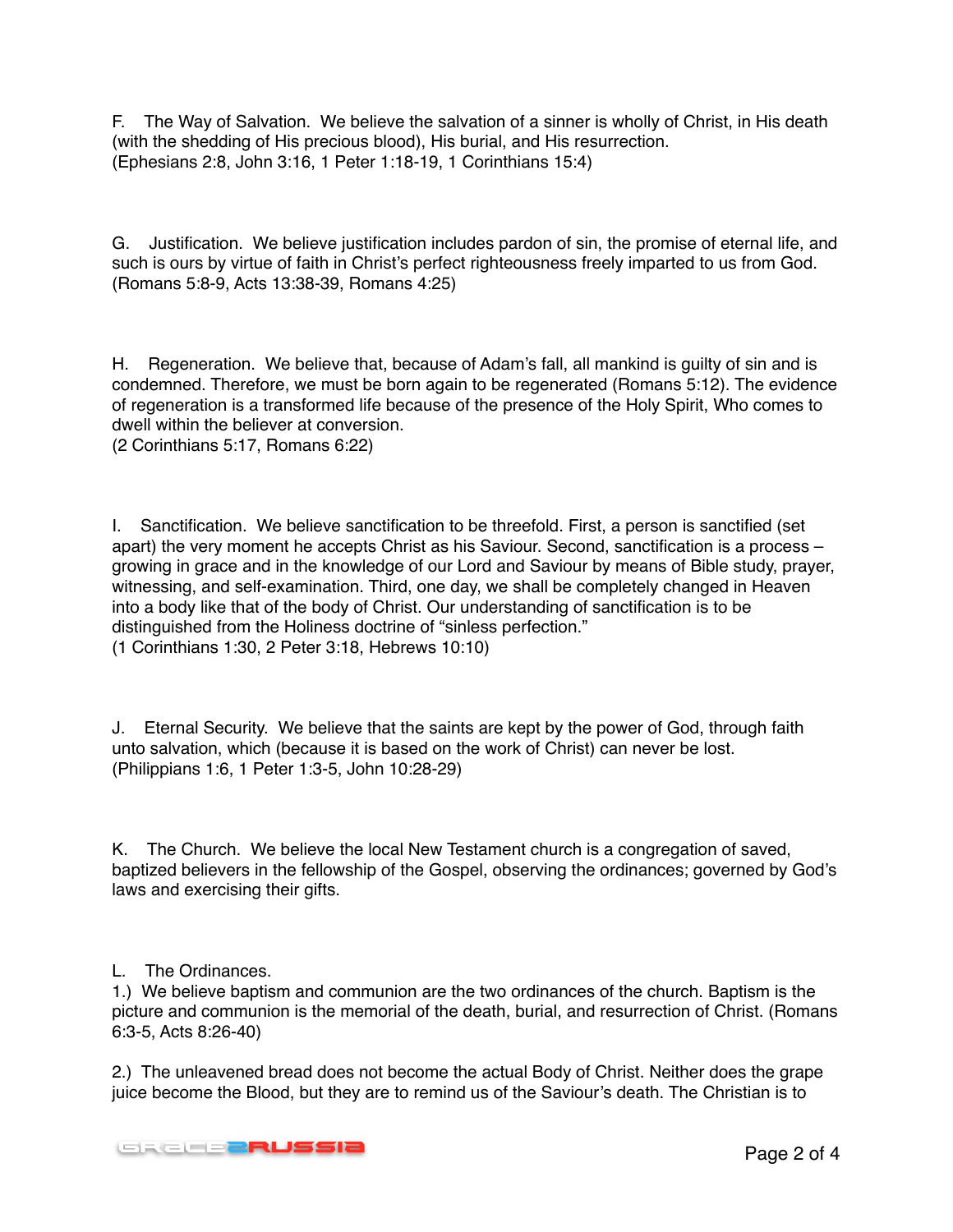F. The Way of Salvation. We believe the salvation of a sinner is wholly of Christ, in His death (with the shedding of His precious blood), His burial, and His resurrection. (Ephesians 2:8, John 3:16, 1 Peter 1:18-19, 1 Corinthians 15:4)

G. Justification. We believe justification includes pardon of sin, the promise of eternal life, and such is ours by virtue of faith in Christ's perfect righteousness freely imparted to us from God. (Romans 5:8-9, Acts 13:38-39, Romans 4:25)

H. Regeneration. We believe that, because of Adam's fall, all mankind is guilty of sin and is condemned. Therefore, we must be born again to be regenerated (Romans 5:12). The evidence of regeneration is a transformed life because of the presence of the Holy Spirit, Who comes to dwell within the believer at conversion.

(2 Corinthians 5:17, Romans 6:22)

I. Sanctification. We believe sanctification to be threefold. First, a person is sanctified (set apart) the very moment he accepts Christ as his Saviour. Second, sanctification is a process – growing in grace and in the knowledge of our Lord and Saviour by means of Bible study, prayer, witnessing, and self-examination. Third, one day, we shall be completely changed in Heaven into a body like that of the body of Christ. Our understanding of sanctification is to be distinguished from the Holiness doctrine of "sinless perfection." (1 Corinthians 1:30, 2 Peter 3:18, Hebrews 10:10)

J. Eternal Security. We believe that the saints are kept by the power of God, through faith unto salvation, which (because it is based on the work of Christ) can never be lost. (Philippians 1:6, 1 Peter 1:3-5, John 10:28-29)

K. The Church. We believe the local New Testament church is a congregation of saved, baptized believers in the fellowship of the Gospel, observing the ordinances; governed by God's laws and exercising their gifts.

L. The Ordinances.

1.) We believe baptism and communion are the two ordinances of the church. Baptism is the picture and communion is the memorial of the death, burial, and resurrection of Christ. (Romans 6:3-5, Acts 8:26-40)

2.) The unleavened bread does not become the actual Body of Christ. Neither does the grape juice become the Blood, but they are to remind us of the Saviour's death. The Christian is to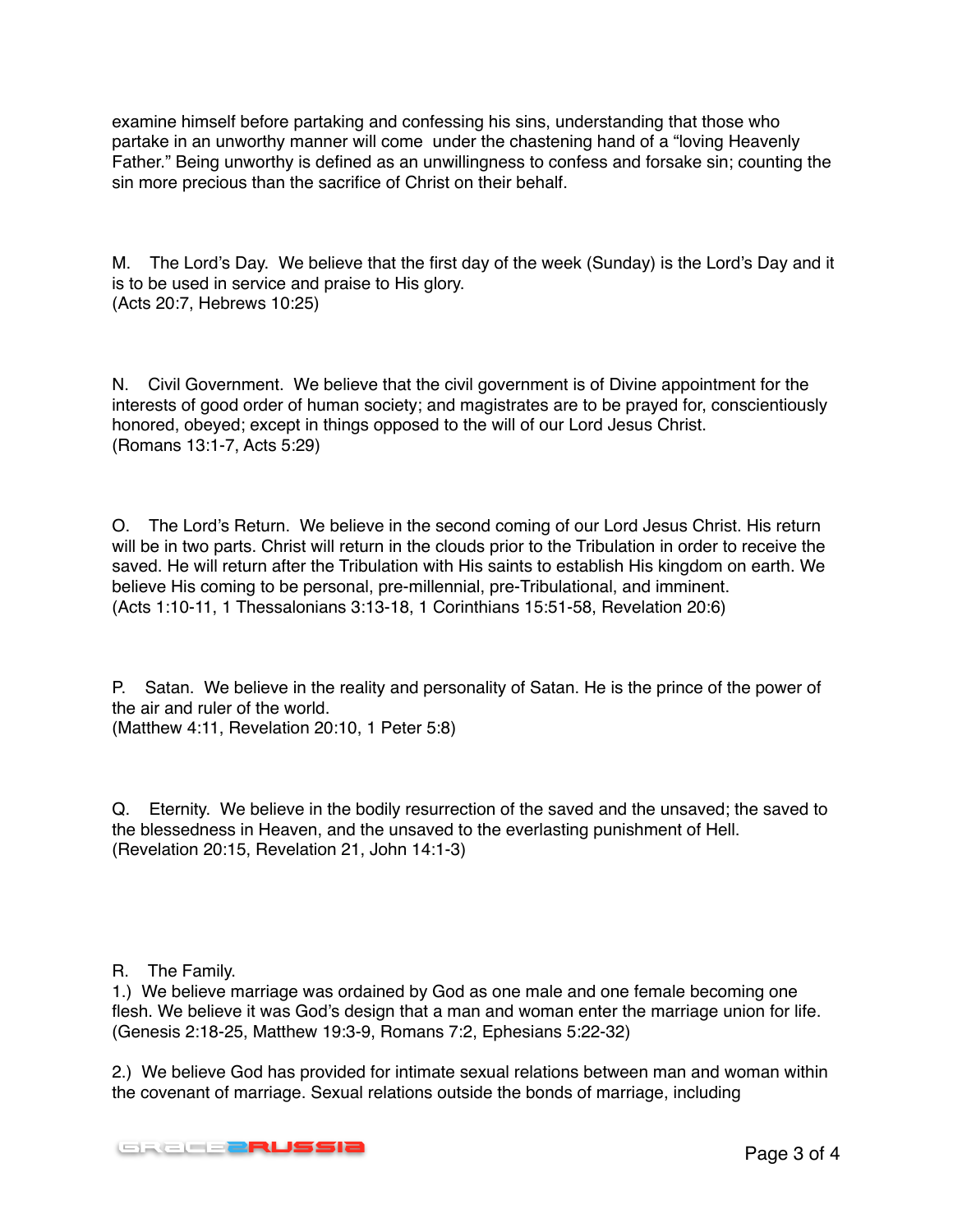examine himself before partaking and confessing his sins, understanding that those who partake in an unworthy manner will come under the chastening hand of a "loving Heavenly Father." Being unworthy is defined as an unwillingness to confess and forsake sin; counting the sin more precious than the sacrifice of Christ on their behalf.

M. The Lord's Day. We believe that the first day of the week (Sunday) is the Lord's Day and it is to be used in service and praise to His glory. (Acts 20:7, Hebrews 10:25)

N. Civil Government. We believe that the civil government is of Divine appointment for the interests of good order of human society; and magistrates are to be prayed for, conscientiously honored, obeyed; except in things opposed to the will of our Lord Jesus Christ. (Romans 13:1-7, Acts 5:29)

O. The Lord's Return. We believe in the second coming of our Lord Jesus Christ. His return will be in two parts. Christ will return in the clouds prior to the Tribulation in order to receive the saved. He will return after the Tribulation with His saints to establish His kingdom on earth. We believe His coming to be personal, pre-millennial, pre-Tribulational, and imminent. (Acts 1:10-11, 1 Thessalonians 3:13-18, 1 Corinthians 15:51-58, Revelation 20:6)

P. Satan. We believe in the reality and personality of Satan. He is the prince of the power of the air and ruler of the world. (Matthew 4:11, Revelation 20:10, 1 Peter 5:8)

Q. Eternity. We believe in the bodily resurrection of the saved and the unsaved; the saved to the blessedness in Heaven, and the unsaved to the everlasting punishment of Hell. (Revelation 20:15, Revelation 21, John 14:1-3)

## R. The Family.

1.) We believe marriage was ordained by God as one male and one female becoming one flesh. We believe it was God's design that a man and woman enter the marriage union for life. (Genesis 2:18-25, Matthew 19:3-9, Romans 7:2, Ephesians 5:22-32)

2.) We believe God has provided for intimate sexual relations between man and woman within the covenant of marriage. Sexual relations outside the bonds of marriage, including